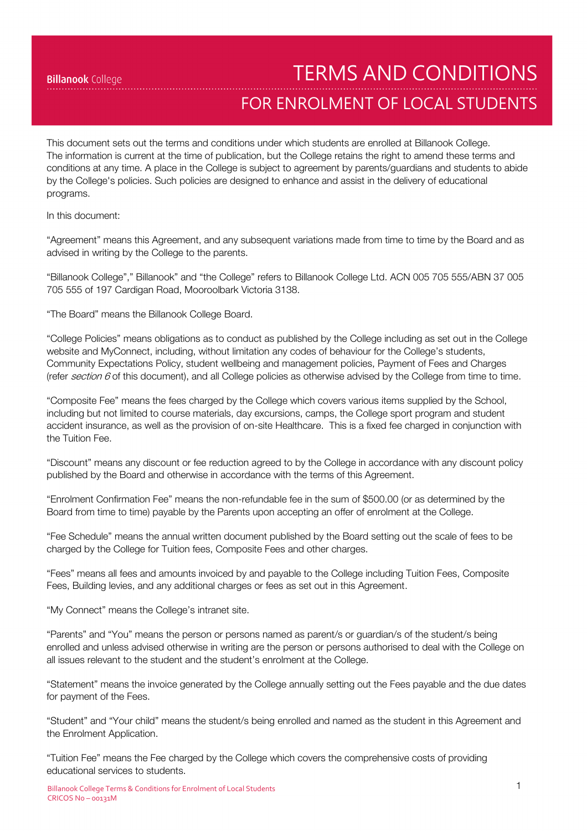TERMS AND CONDITIONS

# FOR ENROLMENT OF LOCAL STUDENTS

This document sets out the terms and conditions under which students are enrolled at Billanook College. The information is current at the time of publication, but the College retains the right to amend these terms and conditions at any time. A place in the College is subject to agreement by parents/guardians and students to abide by the College's policies. Such policies are designed to enhance and assist in the delivery of educational programs.

In this document:

"Agreement" means this Agreement, and any subsequent variations made from time to time by the Board and as advised in writing by the College to the parents.

"Billanook College"," Billanook" and "the College" refers to Billanook College Ltd. ACN 005 705 555/ABN 37 005 705 555 of 197 Cardigan Road, Mooroolbark Victoria 3138.

"The Board" means the Billanook College Board.

"College Policies" means obligations as to conduct as published by the College including as set out in the College website and MyConnect, including, without limitation any codes of behaviour for the College's students, Community Expectations Policy, student wellbeing and management policies, Payment of Fees and Charges (refer section  $6$  of this document), and all College policies as otherwise advised by the College from time to time.

"Composite Fee" means the fees charged by the College which covers various items supplied by the School, including but not limited to course materials, day excursions, camps, the College sport program and student accident insurance, as well as the provision of on-site Healthcare. This is a fixed fee charged in conjunction with the Tuition Fee.

"Discount" means any discount or fee reduction agreed to by the College in accordance with any discount policy published by the Board and otherwise in accordance with the terms of this Agreement.

"Enrolment Confirmation Fee" means the non-refundable fee in the sum of \$500.00 (or as determined by the Board from time to time) payable by the Parents upon accepting an offer of enrolment at the College.

"Fee Schedule" means the annual written document published by the Board setting out the scale of fees to be charged by the College for Tuition fees, Composite Fees and other charges.

"Fees" means all fees and amounts invoiced by and payable to the College including Tuition Fees, Composite Fees, Building levies, and any additional charges or fees as set out in this Agreement.

"My Connect" means the College's intranet site.

"Parents" and "You" means the person or persons named as parent/s or guardian/s of the student/s being enrolled and unless advised otherwise in writing are the person or persons authorised to deal with the College on all issues relevant to the student and the student's enrolment at the College.

"Statement" means the invoice generated by the College annually setting out the Fees payable and the due dates for payment of the Fees.

"Student" and "Your child" means the student/s being enrolled and named as the student in this Agreement and the Enrolment Application.

"Tuition Fee" means the Fee charged by the College which covers the comprehensive costs of providing educational services to students.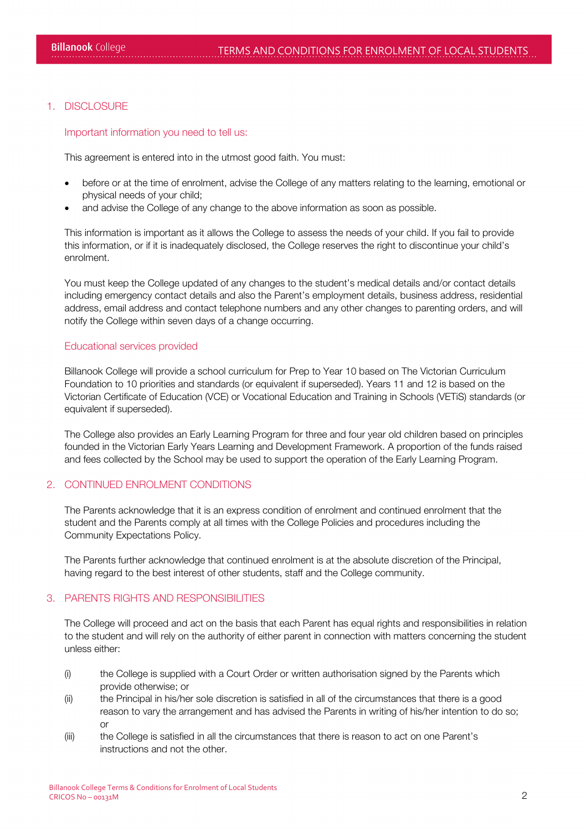## 1. DISCLOSURE

Important information you need to tell us:

This agreement is entered into in the utmost good faith. You must:

- before or at the time of enrolment, advise the College of any matters relating to the learning, emotional or physical needs of your child;
- and advise the College of any change to the above information as soon as possible.

This information is important as it allows the College to assess the needs of your child. If you fail to provide this information, or if it is inadequately disclosed, the College reserves the right to discontinue your child's enrolment.

You must keep the College updated of any changes to the student's medical details and/or contact details including emergency contact details and also the Parent's employment details, business address, residential address, email address and contact telephone numbers and any other changes to parenting orders, and will notify the College within seven days of a change occurring.

#### Educational services provided

Billanook College will provide a school curriculum for Prep to Year 10 based on The Victorian Curriculum Foundation to 10 priorities and standards (or equivalent if superseded). Years 11 and 12 is based on the Victorian Certificate of Education (VCE) or Vocational Education and Training in Schools (VETiS) standards (or equivalent if superseded).

The College also provides an Early Learning Program for three and four year old children based on principles founded in the Victorian Early Years Learning and Development Framework. A proportion of the funds raised and fees collected by the School may be used to support the operation of the Early Learning Program.

## 2. CONTINUED ENROLMENT CONDITIONS

The Parents acknowledge that it is an express condition of enrolment and continued enrolment that the student and the Parents comply at all times with the College Policies and procedures including the Community Expectations Policy.

The Parents further acknowledge that continued enrolment is at the absolute discretion of the Principal, having regard to the best interest of other students, staff and the College community.

## 3. PARENTS RIGHTS AND RESPONSIBILITIES

The College will proceed and act on the basis that each Parent has equal rights and responsibilities in relation to the student and will rely on the authority of either parent in connection with matters concerning the student unless either:

- (i) the College is supplied with a Court Order or written authorisation signed by the Parents which provide otherwise; or
- (ii) the Principal in his/her sole discretion is satisfied in all of the circumstances that there is a good reason to vary the arrangement and has advised the Parents in writing of his/her intention to do so; or
- (iii) the College is satisfied in all the circumstances that there is reason to act on one Parent's instructions and not the other.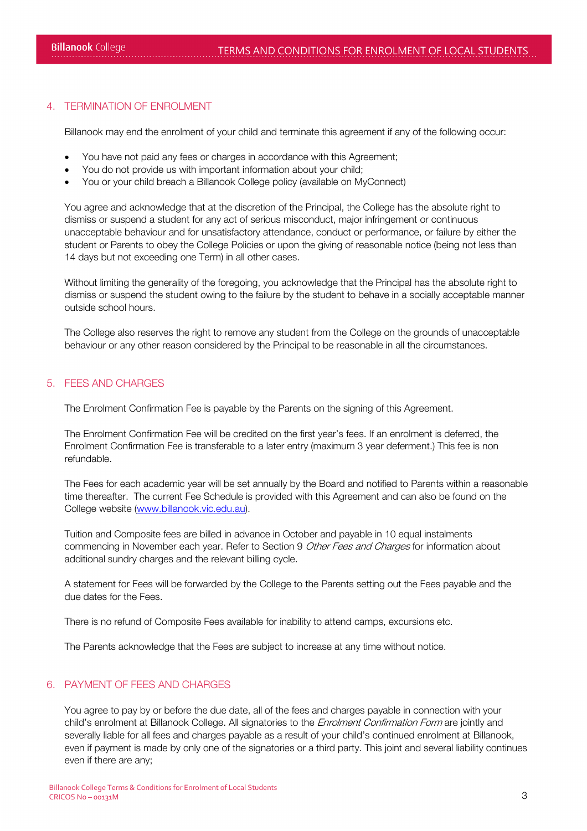# 4. TERMINATION OF ENROLMENT

Billanook may end the enrolment of your child and terminate this agreement if any of the following occur:

- You have not paid any fees or charges in accordance with this Agreement;
- You do not provide us with important information about your child;
- You or your child breach a Billanook College policy (available on MyConnect)

You agree and acknowledge that at the discretion of the Principal, the College has the absolute right to dismiss or suspend a student for any act of serious misconduct, major infringement or continuous unacceptable behaviour and for unsatisfactory attendance, conduct or performance, or failure by either the student or Parents to obey the College Policies or upon the giving of reasonable notice (being not less than 14 days but not exceeding one Term) in all other cases.

Without limiting the generality of the foregoing, you acknowledge that the Principal has the absolute right to dismiss or suspend the student owing to the failure by the student to behave in a socially acceptable manner outside school hours.

The College also reserves the right to remove any student from the College on the grounds of unacceptable behaviour or any other reason considered by the Principal to be reasonable in all the circumstances.

#### 5. FEES AND CHARGES

The Enrolment Confirmation Fee is payable by the Parents on the signing of this Agreement.

The Enrolment Confirmation Fee will be credited on the first year's fees. If an enrolment is deferred, the Enrolment Confirmation Fee is transferable to a later entry (maximum 3 year deferment.) This fee is non refundable.

The Fees for each academic year will be set annually by the Board and notified to Parents within a reasonable time thereafter. The current Fee Schedule is provided with this Agreement and can also be found on the College website [\(www.billanook.vic.edu.au\)](http://www.billanook.vic.edu.au/).

Tuition and Composite fees are billed in advance in October and payable in 10 equal instalments commencing in November each year. Refer to Section 9 Other Fees and Charges for information about additional sundry charges and the relevant billing cycle.

A statement for Fees will be forwarded by the College to the Parents setting out the Fees payable and the due dates for the Fees.

There is no refund of Composite Fees available for inability to attend camps, excursions etc.

The Parents acknowledge that the Fees are subject to increase at any time without notice.

### 6. PAYMENT OF FEES AND CHARGES

You agree to pay by or before the due date, all of the fees and charges payable in connection with your child's enrolment at Billanook College. All signatories to the *Enrolment Confirmation Form* are jointly and severally liable for all fees and charges payable as a result of your child's continued enrolment at Billanook, even if payment is made by only one of the signatories or a third party. This joint and several liability continues even if there are any;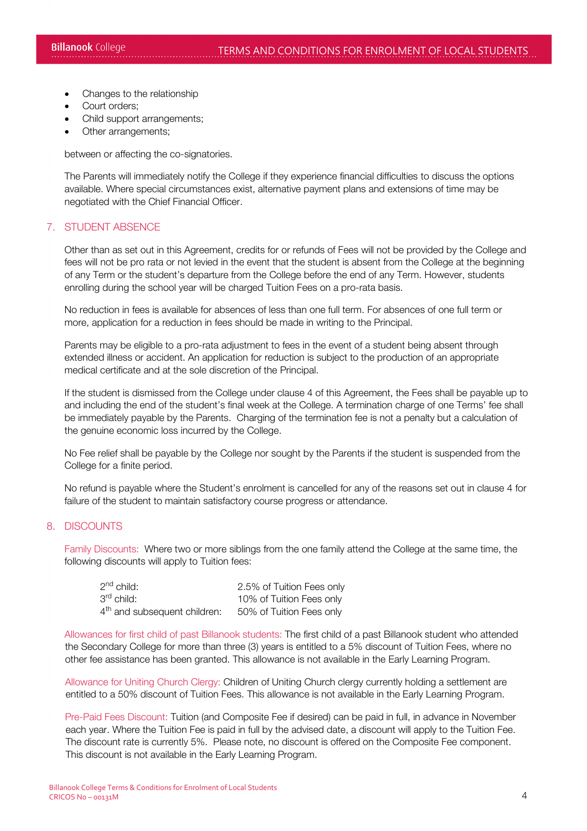- Changes to the relationship
- Court orders;
- Child support arrangements;
- Other arrangements;

between or affecting the co-signatories.

The Parents will immediately notify the College if they experience financial difficulties to discuss the options available. Where special circumstances exist, alternative payment plans and extensions of time may be negotiated with the Chief Financial Officer.

## 7. STUDENT ABSENCE

Other than as set out in this Agreement, credits for or refunds of Fees will not be provided by the College and fees will not be pro rata or not levied in the event that the student is absent from the College at the beginning of any Term or the student's departure from the College before the end of any Term. However, students enrolling during the school year will be charged Tuition Fees on a pro-rata basis.

No reduction in fees is available for absences of less than one full term. For absences of one full term or more, application for a reduction in fees should be made in writing to the Principal.

Parents may be eligible to a pro-rata adjustment to fees in the event of a student being absent through extended illness or accident. An application for reduction is subject to the production of an appropriate medical certificate and at the sole discretion of the Principal.

If the student is dismissed from the College under clause 4 of this Agreement, the Fees shall be payable up to and including the end of the student's final week at the College. A termination charge of one Terms' fee shall be immediately payable by the Parents. Charging of the termination fee is not a penalty but a calculation of the genuine economic loss incurred by the College.

No Fee relief shall be payable by the College nor sought by the Parents if the student is suspended from the College for a finite period.

No refund is payable where the Student's enrolment is cancelled for any of the reasons set out in clause 4 for failure of the student to maintain satisfactory course progress or attendance.

#### 8. DISCOUNTS

Family Discounts: Where two or more siblings from the one family attend the College at the same time, the following discounts will apply to Tuition fees:

| $2nd$ child:                             | 2.5% of Tuition Fees only |
|------------------------------------------|---------------------------|
| 3 <sup>rd</sup> child:                   | 10% of Tuition Fees only  |
| 4 <sup>th</sup> and subsequent children: | 50% of Tuition Fees only  |

Allowances for first child of past Billanook students: The first child of a past Billanook student who attended the Secondary College for more than three (3) years is entitled to a 5% discount of Tuition Fees, where no other fee assistance has been granted. This allowance is not available in the Early Learning Program.

Allowance for Uniting Church Clergy: Children of Uniting Church clergy currently holding a settlement are entitled to a 50% discount of Tuition Fees. This allowance is not available in the Early Learning Program.

Pre-Paid Fees Discount: Tuition (and Composite Fee if desired) can be paid in full, in advance in November each year. Where the Tuition Fee is paid in full by the advised date, a discount will apply to the Tuition Fee. The discount rate is currently 5%. Please note, no discount is offered on the Composite Fee component. This discount is not available in the Early Learning Program.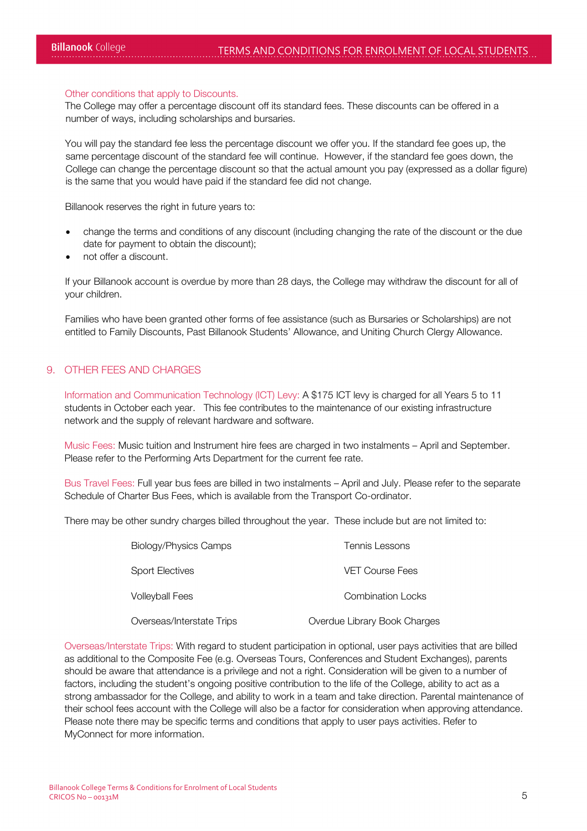#### Other conditions that apply to Discounts.

The College may offer a percentage discount off its standard fees. These discounts can be offered in a number of ways, including scholarships and bursaries.

You will pay the standard fee less the percentage discount we offer you. If the standard fee goes up, the same percentage discount of the standard fee will continue. However, if the standard fee goes down, the College can change the percentage discount so that the actual amount you pay (expressed as a dollar figure) is the same that you would have paid if the standard fee did not change.

Billanook reserves the right in future years to:

- change the terms and conditions of any discount (including changing the rate of the discount or the due date for payment to obtain the discount);
- not offer a discount.

If your Billanook account is overdue by more than 28 days, the College may withdraw the discount for all of your children.

Families who have been granted other forms of fee assistance (such as Bursaries or Scholarships) are not entitled to Family Discounts, Past Billanook Students' Allowance, and Uniting Church Clergy Allowance.

## 9. OTHER FEES AND CHARGES

Information and Communication Technology (ICT) Levy: A \$175 ICT levy is charged for all Years 5 to 11 students in October each year. This fee contributes to the maintenance of our existing infrastructure network and the supply of relevant hardware and software.

Music Fees: Music tuition and Instrument hire fees are charged in two instalments – April and September. Please refer to the Performing Arts Department for the current fee rate.

Bus Travel Fees: Full year bus fees are billed in two instalments – April and July. Please refer to the separate Schedule of Charter Bus Fees, which is available from the Transport Co-ordinator.

There may be other sundry charges billed throughout the year. These include but are not limited to:

| <b>Biology/Physics Camps</b> | <b>Tennis Lessons</b>        |
|------------------------------|------------------------------|
| Sport Electives              | <b>VET Course Fees</b>       |
| <b>Volleyball Fees</b>       | <b>Combination Locks</b>     |
| Overseas/Interstate Trips    | Overdue Library Book Charges |

Overseas/Interstate Trips: With regard to student participation in optional, user pays activities that are billed as additional to the Composite Fee (e.g. Overseas Tours, Conferences and Student Exchanges), parents should be aware that attendance is a privilege and not a right. Consideration will be given to a number of factors, including the student's ongoing positive contribution to the life of the College, ability to act as a strong ambassador for the College, and ability to work in a team and take direction. Parental maintenance of their school fees account with the College will also be a factor for consideration when approving attendance. Please note there may be specific terms and conditions that apply to user pays activities. Refer to MyConnect for more information.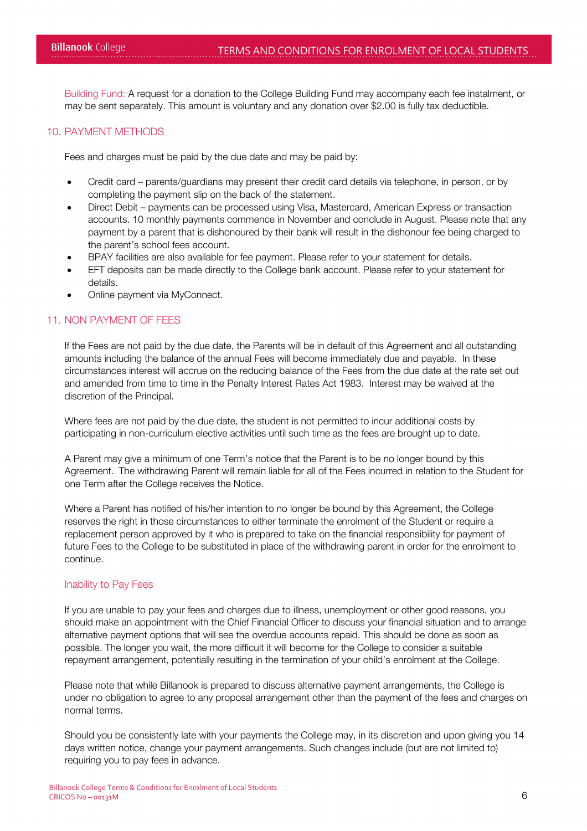Building Fund: A request for a donation to the College Building Fund may accompany each fee instalment, or may be sent separately. This amount is voluntary and any donation over \$2.00 is fully tax deductible.

#### 10. PAYMENT METHODS

Fees and charges must be paid by the due date and may be paid by:

- Credit card parents/guardians may present their credit card details via telephone, in person, or by completing the payment slip on the back of the statement.
- Direct Debit payments can be processed using Visa, Mastercard, American Express or transaction accounts. 10 monthly payments commence in November and conclude in August. Please note that any payment by a parent that is dishonoured by their bank will result in the dishonour fee being charged to the parent's school fees account.
- BPAY facilities are also available for fee payment. Please refer to your statement for details.
- EFT deposits can be made directly to the College bank account. Please refer to your statement for details.
- Online payment via MyConnect.

#### 11. NON PAYMENT OF FEES

If the Fees are not paid by the due date, the Parents will be in default of this Agreement and all outstanding amounts including the balance of the annual Fees will become immediately due and payable. In these circumstances interest will accrue on the reducing balance of the Fees from the due date at the rate set out and amended from time to time in the Penalty Interest Rates Act 1983. Interest may be waived at the discretion of the Principal.

Where fees are not paid by the due date, the student is not permitted to incur additional costs by participating in non-curriculum elective activities until such time as the fees are brought up to date.

A Parent may give a minimum of one Term's notice that the Parent is to be no longer bound by this Agreement. The withdrawing Parent will remain liable for all of the Fees incurred in relation to the Student for one Term after the College receives the Notice.

Where a Parent has notified of his/her intention to no longer be bound by this Agreement, the College reserves the right in those circumstances to either terminate the enrolment of the Student or require a replacement person approved by it who is prepared to take on the financial responsibility for payment of future Fees to the College to be substituted in place of the withdrawing parent in order for the enrolment to continue.

#### Inability to Pay Fees

If you are unable to pay your fees and charges due to illness, unemployment or other good reasons, you should make an appointment with the Chief Financial Officer to discuss your financial situation and to arrange alternative payment options that will see the overdue accounts repaid. This should be done as soon as possible. The longer you wait, the more difficult it will become for the College to consider a suitable repayment arrangement, potentially resulting in the termination of your child's enrolment at the College.

Please note that while Billanook is prepared to discuss alternative payment arrangements, the College is under no obligation to agree to any proposal arrangement other than the payment of the fees and charges on normal terms.

Should you be consistently late with your payments the College may, in its discretion and upon giving you 14 days written notice, change your payment arrangements. Such changes include (but are not limited to) requiring you to pay fees in advance.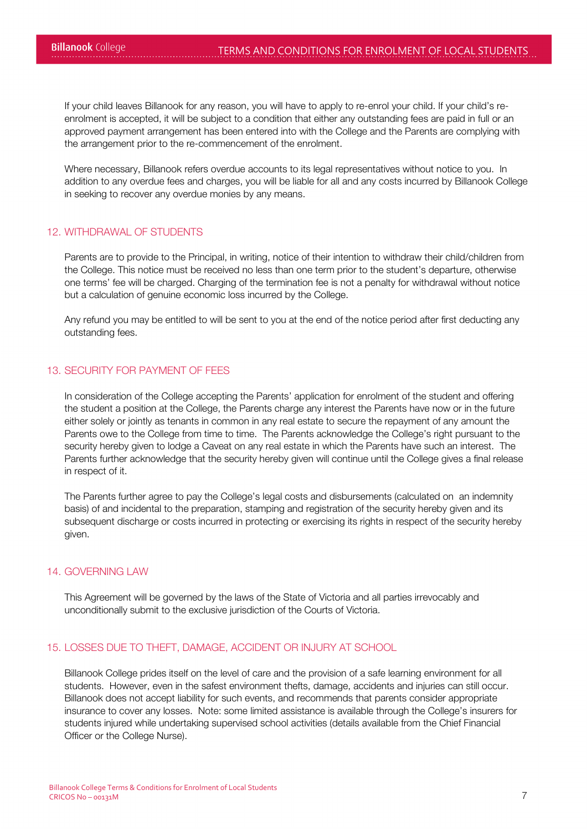If your child leaves Billanook for any reason, you will have to apply to re-enrol your child. If your child's reenrolment is accepted, it will be subject to a condition that either any outstanding fees are paid in full or an approved payment arrangement has been entered into with the College and the Parents are complying with the arrangement prior to the re-commencement of the enrolment.

Where necessary, Billanook refers overdue accounts to its legal representatives without notice to you. In addition to any overdue fees and charges, you will be liable for all and any costs incurred by Billanook College in seeking to recover any overdue monies by any means.

# 12. WITHDRAWAL OF STUDENTS

Parents are to provide to the Principal, in writing, notice of their intention to withdraw their child/children from the College. This notice must be received no less than one term prior to the student's departure, otherwise one terms' fee will be charged. Charging of the termination fee is not a penalty for withdrawal without notice but a calculation of genuine economic loss incurred by the College.

Any refund you may be entitled to will be sent to you at the end of the notice period after first deducting any outstanding fees.

## 13. SECURITY FOR PAYMENT OF FEES

In consideration of the College accepting the Parents' application for enrolment of the student and offering the student a position at the College, the Parents charge any interest the Parents have now or in the future either solely or jointly as tenants in common in any real estate to secure the repayment of any amount the Parents owe to the College from time to time. The Parents acknowledge the College's right pursuant to the security hereby given to lodge a Caveat on any real estate in which the Parents have such an interest. The Parents further acknowledge that the security hereby given will continue until the College gives a final release in respect of it.

The Parents further agree to pay the College's legal costs and disbursements (calculated on an indemnity basis) of and incidental to the preparation, stamping and registration of the security hereby given and its subsequent discharge or costs incurred in protecting or exercising its rights in respect of the security hereby given.

## 14. GOVERNING LAW

This Agreement will be governed by the laws of the State of Victoria and all parties irrevocably and unconditionally submit to the exclusive jurisdiction of the Courts of Victoria.

## 15. LOSSES DUE TO THEFT, DAMAGE, ACCIDENT OR INJURY AT SCHOOL

Billanook College prides itself on the level of care and the provision of a safe learning environment for all students. However, even in the safest environment thefts, damage, accidents and injuries can still occur. Billanook does not accept liability for such events, and recommends that parents consider appropriate insurance to cover any losses. Note: some limited assistance is available through the College's insurers for students injured while undertaking supervised school activities (details available from the Chief Financial Officer or the College Nurse).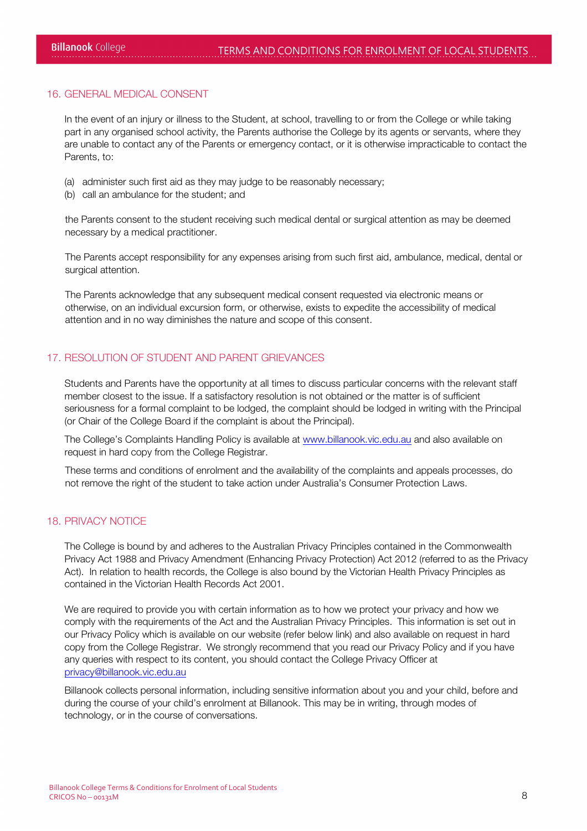#### 16. GENERAL MEDICAL CONSENT

In the event of an injury or illness to the Student, at school, travelling to or from the College or while taking part in any organised school activity, the Parents authorise the College by its agents or servants, where they are unable to contact any of the Parents or emergency contact, or it is otherwise impracticable to contact the Parents, to:

- (a) administer such first aid as they may judge to be reasonably necessary;
- (b) call an ambulance for the student; and

the Parents consent to the student receiving such medical dental or surgical attention as may be deemed necessary by a medical practitioner.

The Parents accept responsibility for any expenses arising from such first aid, ambulance, medical, dental or surgical attention.

The Parents acknowledge that any subsequent medical consent requested via electronic means or otherwise, on an individual excursion form, or otherwise, exists to expedite the accessibility of medical attention and in no way diminishes the nature and scope of this consent.

# 17. RESOLUTION OF STUDENT AND PARENT GRIEVANCES

Students and Parents have the opportunity at all times to discuss particular concerns with the relevant staff member closest to the issue. If a satisfactory resolution is not obtained or the matter is of sufficient seriousness for a formal complaint to be lodged, the complaint should be lodged in writing with the Principal (or Chair of the College Board if the complaint is about the Principal).

The College's Complaints Handling Policy is available at [www.billanook.vic.edu.au](http://www.billanook.vic.edu.au/) and also available on request in hard copy from the College Registrar.

These terms and conditions of enrolment and the availability of the complaints and appeals processes, do not remove the right of the student to take action under Australia's Consumer Protection Laws.

#### 18. PRIVACY NOTICE

The College is bound by and adheres to the Australian Privacy Principles contained in the Commonwealth Privacy Act 1988 and Privacy Amendment (Enhancing Privacy Protection) Act 2012 (referred to as the Privacy Act). In relation to health records, the College is also bound by the Victorian Health Privacy Principles as contained in the Victorian Health Records Act 2001.

We are required to provide you with certain information as to how we protect your privacy and how we comply with the requirements of the Act and the Australian Privacy Principles. This information is set out in our Privacy Policy which is available on our website (refer below link) and also available on request in hard copy from the College Registrar. We strongly recommend that you read our Privacy Policy and if you have any queries with respect to its content, you should contact the College Privacy Officer at [privacy@billanook.vic.edu.au](mailto:privacy@billanook.vic.edu.au)

Billanook collects personal information, including sensitive information about you and your child, before and during the course of your child's enrolment at Billanook. This may be in writing, through modes of technology, or in the course of conversations.